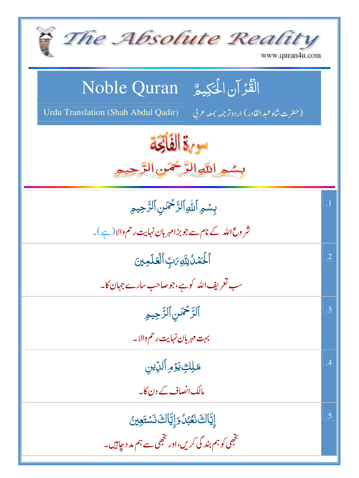| The Absolute Reality<br>www.quran4u.com                                                                                 |            |
|-------------------------------------------------------------------------------------------------------------------------|------------|
| الْقُرْآنِ الْحَكِيمُ ِ Noble Quran<br>Urdu Translation (Shah Abdul Qadir)<br>(حضرت شاه عَبدالقادر) اردوترجمه بمعه عربي |            |
| سوءة الفاتحة<br>بسمير اللوالرَّحْمَنِ الرَّحِ                                                                           |            |
| بسُمِ ٱللَّهِ ٱلرَّحْمَنِ ٱلرَّحِيمِ<br>شر وع اللہ کے نام سے جو بڑ امہر بان نہایت رحم والا (ہے )۔                       | $\cdot$ 1  |
| ٱلۡكَمَۡدُٰلِلَّهِ مَتِ ٱلۡعَلَمِینَ<br>سب تعریف اللہ کوہے،جوصاحب سارے جہان کا۔                                         | $\cdot$ .2 |
| ٱلرَّحْمَنِٱلرَّحِيمِ<br>بہت مہربان نہایت رحم والا۔                                                                     | $\cdot$ 3  |
| <del>مَلِكِ</del> يدَمِ ٱلدِّين<br>مالک انصاف کے دن کا۔                                                                 | $\cdot$    |
| ٳؚؾۜٙٳڬ؋ػۼڹؗٛۅؘٳۭؾۜٳڬ؋ڛٙؾؘۼؿ<br>تخبھی کو ہم بند گی کریں،اور تخبھی سے ہم مد د چاہیں۔                                     | .5         |